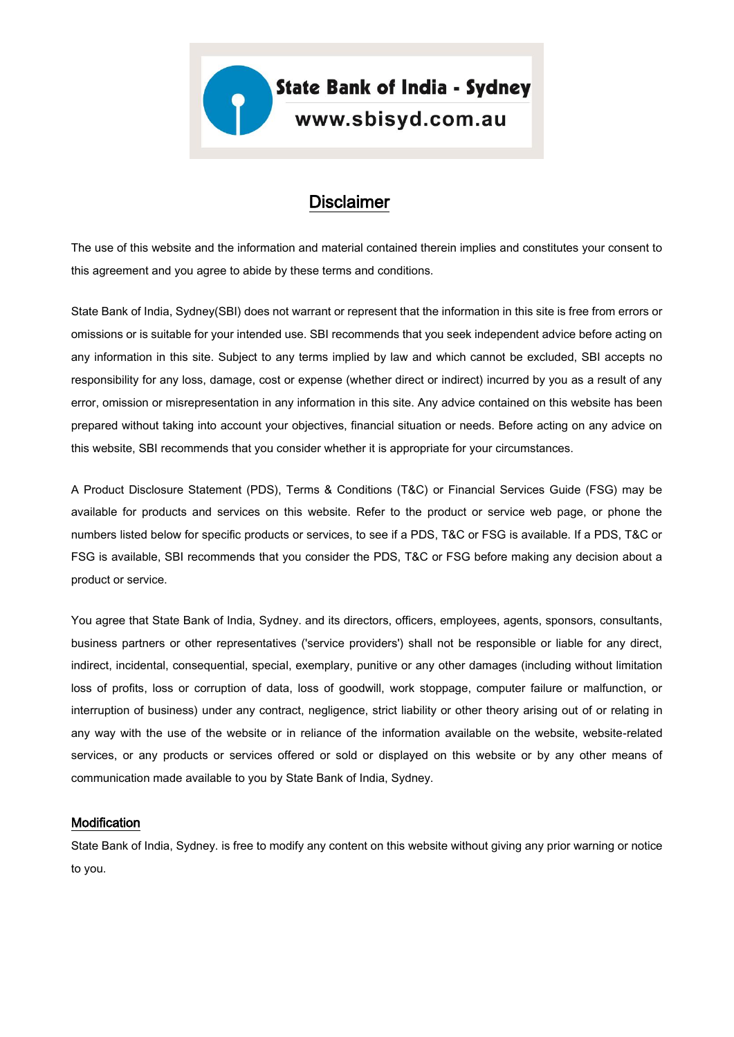# **Disclaimer**

The use of this website and the information and material contained therein implies and constitutes your consent to this agreement and you agree to abide by these terms and conditions.

State Bank of India, Sydney(SBI) does not warrant or represent that the information in this site is free from errors or omissions or is suitable for your intended use. SBI recommends that you seek independent advice before acting on any information in this site. Subject to any terms implied by law and which cannot be excluded, SBI accepts no responsibility for any loss, damage, cost or expense (whether direct or indirect) incurred by you as a result of any error, omission or misrepresentation in any information in this site. Any advice contained on this website has been prepared without taking into account your objectives, financial situation or needs. Before acting on any advice on this website, SBI recommends that you consider whether it is appropriate for your circumstances.

A Product Disclosure Statement (PDS), Terms & Conditions (T&C) or Financial Services Guide (FSG) may be available for products and services on this website. Refer to the product or service web page, or phone the numbers listed below for specific products or services, to see if a PDS, T&C or FSG is available. If a PDS, T&C or FSG is available, SBI recommends that you consider the PDS, T&C or FSG before making any decision about a product or service.

You agree that State Bank of India, Sydney. and its directors, officers, employees, agents, sponsors, consultants, business partners or other representatives ('service providers') shall not be responsible or liable for any direct, indirect, incidental, consequential, special, exemplary, punitive or any other damages (including without limitation loss of profits, loss or corruption of data, loss of goodwill, work stoppage, computer failure or malfunction, or interruption of business) under any contract, negligence, strict liability or other theory arising out of or relating in any way with the use of the website or in reliance of the information available on the website, website-related services, or any products or services offered or sold or displayed on this website or by any other means of communication made available to you by State Bank of India, Sydney.

#### **Modification**

State Bank of India, Sydney. is free to modify any content on this website without giving any prior warning or notice to you.